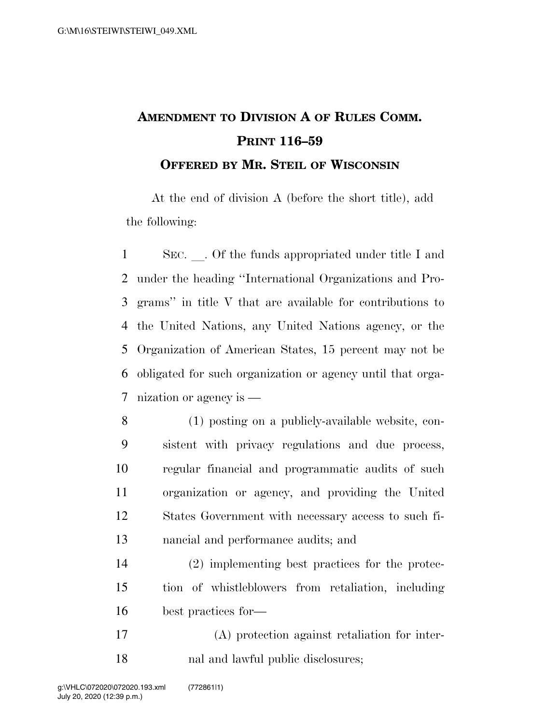## **AMENDMENT TO DIVISION A OF RULES COMM. PRINT 116–59 OFFERED BY MR. STEIL OF WISCONSIN**

At the end of division A (before the short title), add the following:

1 SEC. Of the funds appropriated under title I and under the heading ''International Organizations and Pro- grams'' in title V that are available for contributions to the United Nations, any United Nations agency, or the Organization of American States, 15 percent may not be obligated for such organization or agency until that orga-nization or agency is —

 (1) posting on a publicly-available website, con- sistent with privacy regulations and due process, regular financial and programmatic audits of such organization or agency, and providing the United States Government with necessary access to such fi-nancial and performance audits; and

 (2) implementing best practices for the protec- tion of whistleblowers from retaliation, including best practices for—

 (A) protection against retaliation for inter-nal and lawful public disclosures;